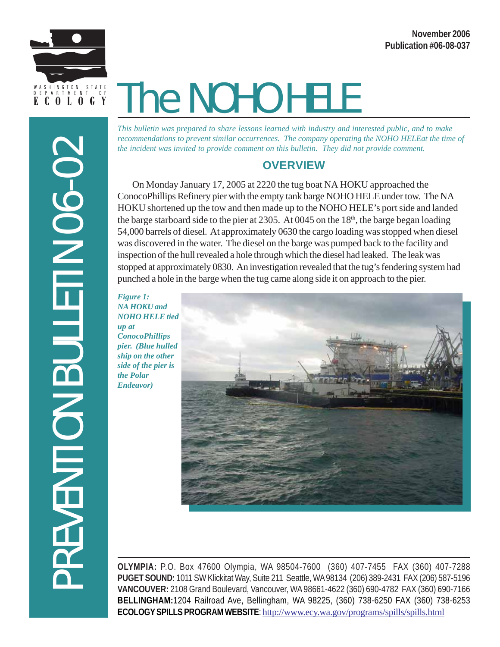

# The NOHO HELE

*This bulletin was prepared to share lessons learned with industry and interested public, and to make recommendations to prevent similar occurrences. The company operating the NOHO HELEat the time of the incident was invited to provide comment on this bulletin. They did not provide comment.*

# **OVERVIEW**

On Monday January 17, 2005 at 2220 the tug boat NA HOKU approached the ConocoPhillips Refinery pier with the empty tank barge NOHO HELE under tow. The NA HOKU shortened up the tow and then made up to the NOHO HELE's port side and landed the barge starboard side to the pier at 2305. At 0045 on the  $18<sup>th</sup>$ , the barge began loading 54,000 barrels of diesel. At approximately 0630 the cargo loading was stopped when diesel was discovered in the water. The diesel on the barge was pumped back to the facility and inspection of the hull revealed a hole through which the diesel had leaked. The leak was stopped at approximately 0830. An investigation revealed that the tug's fendering system had punched a hole in the barge when the tug came along side it on approach to the pier.

*Figure 1: NA HOKU and NOHO HELE tied up at ConocoPhillips pier. (Blue hulled ship on the other side of the pier is the Polar Endeavor)*



**OLYMPIA:** P.O. Box 47600 Olympia, WA 98504-7600 (360) 407-7455 FAX (360) 407-7288 **PUGET SOUND:** 1011 SW Klickitat Way, Suite 211 Seattle, WA 98134 (206) 389-2431 FAX (206) 587-5196 **VANCOUVER:** 2108 Grand Boulevard, Vancouver, WA 98661-4622 (360) 690-4782 FAX (360) 690-7166 **BELLINGHAM:**1204 Railroad Ave, Bellingham, WA 98225, (360) 738-6250 FAX (360) 738-6253 **ECOLOGY SPILLS PROGRAM WEBSITE**: http://www.ecy.wa.gov/programs/spills/spills.html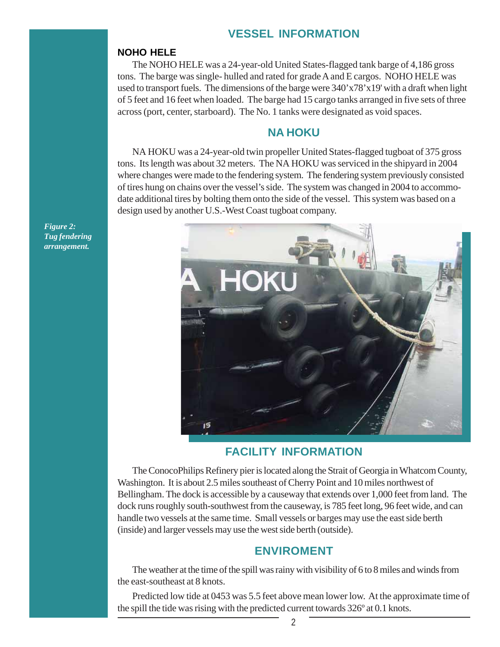# **VESSEL INFORMATION**

#### **NOHO HELE**

The NOHO HELE was a 24-year-old United States-flagged tank barge of 4,186 gross tons. The barge was single- hulled and rated for grade A and E cargos. NOHO HELE was used to transport fuels. The dimensions of the barge were 340'x78'x19' with a draft when light of 5 feet and 16 feet when loaded. The barge had 15 cargo tanks arranged in five sets of three across (port, center, starboard). The No. 1 tanks were designated as void spaces.

#### **NA HOKU**

NA HOKU was a 24-year-old twin propeller United States-flagged tugboat of 375 gross tons. Its length was about 32 meters. The NA HOKU was serviced in the shipyard in 2004 where changes were made to the fendering system. The fendering system previously consisted of tires hung on chains over the vessel's side. The system was changed in 2004 to accommodate additional tires by bolting them onto the side of the vessel. This system was based on a design used by another U.S.-West Coast tugboat company.



#### **FACILITY INFORMATION**

The ConocoPhilips Refinery pier is located along the Strait of Georgia in Whatcom County, Washington. It is about 2.5 miles southeast of Cherry Point and 10 miles northwest of Bellingham. The dock is accessible by a causeway that extends over 1,000 feet from land. The dock runs roughly south-southwest from the causeway, is 785 feet long, 96 feet wide, and can handle two vessels at the same time. Small vessels or barges may use the east side berth (inside) and larger vessels may use the west side berth (outside).

#### **ENVIROMENT**

The weather at the time of the spill was rainy with visibility of 6 to 8 miles and winds from the east-southeast at 8 knots.

Predicted low tide at 0453 was 5.5 feet above mean lower low. At the approximate time of the spill the tide was rising with the predicted current towards 326º at 0.1 knots.

*Figure 2: Tug fendering arrangement.*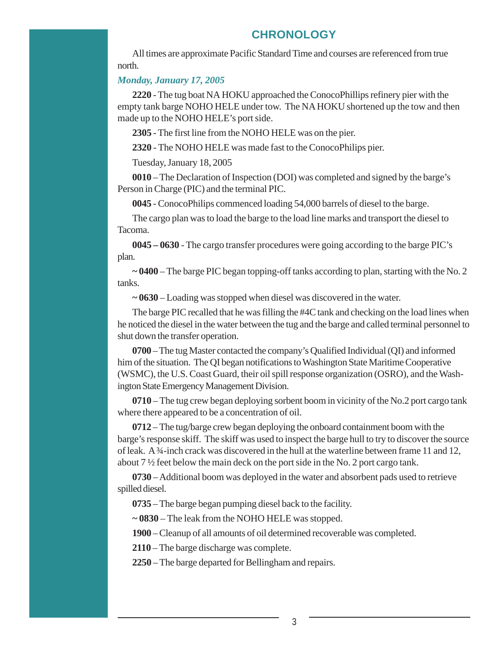## **CHRONOLOGY**

All times are approximate Pacific Standard Time and courses are referenced from true north.

#### *Monday, January 17, 2005*

**2220** *-* The tug boat NA HOKU approached the ConocoPhillips refinery pier with the empty tank barge NOHO HELE under tow. The NA HOKU shortened up the tow and then made up to the NOHO HELE's port side.

**2305** - The first line from the NOHO HELE was on the pier.

**2320** - The NOHO HELE was made fast to the ConocoPhilips pier.

Tuesday, January 18, 2005

**0010** – The Declaration of Inspection (DOI) was completed and signed by the barge's Person in Charge (PIC) and the terminal PIC.

**0045** - ConocoPhilips commenced loading 54,000 barrels of diesel to the barge.

The cargo plan was to load the barge to the load line marks and transport the diesel to Tacoma.

**0045 – 0630** *-* The cargo transfer procedures were going according to the barge PIC's plan.

**~ 0400** *–* The barge PIC began topping-off tanks according to plan, starting with the No. 2 tanks.

**~ 0630** – Loading was stopped when diesel was discovered in the water.

The barge PIC recalled that he was filling the #4C tank and checking on the load lines when he noticed the diesel in the water between the tug and the barge and called terminal personnel to shut down the transfer operation.

**0700** – The tug Master contacted the company's Qualified Individual (QI) and informed him of the situation. The QI began notifications to Washington State Maritime Cooperative (WSMC), the U.S. Coast Guard, their oil spill response organization (OSRO), and the Washington State Emergency Management Division.

**0710** – The tug crew began deploying sorbent boom in vicinity of the No.2 port cargo tank where there appeared to be a concentration of oil.

**0712** – The tug/barge crew began deploying the onboard containment boom with the barge's response skiff. The skiff was used to inspect the barge hull to try to discover the source of leak.  $A^{3}$ 4-inch crack was discovered in the hull at the waterline between frame 11 and 12, about 7 ½ feet below the main deck on the port side in the No. 2 port cargo tank.

**0730** – Additional boom was deployed in the water and absorbent pads used to retrieve spilled diesel.

**0735** *–* The barge began pumping diesel back to the facility.

**~ 0830** *–* The leak from the NOHO HELE was stopped.

**1900** – Cleanup of all amounts of oil determined recoverable was completed.

**2110** – The barge discharge was complete.

**2250** – The barge departed for Bellingham and repairs.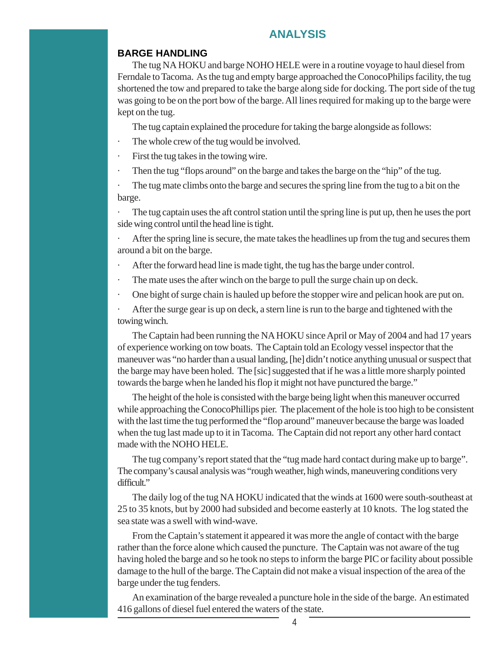#### **ANALYSIS**

#### **BARGE HANDLING**

The tug NA HOKU and barge NOHO HELE were in a routine voyage to haul diesel from Ferndale to Tacoma. As the tug and empty barge approached the ConocoPhilips facility, the tug shortened the tow and prepared to take the barge along side for docking. The port side of the tug was going to be on the port bow of the barge. All lines required for making up to the barge were kept on the tug.

The tug captain explained the procedure for taking the barge alongside as follows:

- The whole crew of the tug would be involved.
- First the tug takes in the towing wire.
- Then the tug "flops around" on the barge and takes the barge on the "hip" of the tug.

The tug mate climbs onto the barge and secures the spring line from the tug to a bit on the barge.

The tug captain uses the aft control station until the spring line is put up, then he uses the port side wing control until the head line is tight.

After the spring line is secure, the mate takes the headlines up from the tug and secures them around a bit on the barge.

- After the forward head line is made tight, the tug has the barge under control.
- · The mate uses the after winch on the barge to pull the surge chain up on deck.
- One bight of surge chain is hauled up before the stopper wire and pelican hook are put on.

After the surge gear is up on deck, a stern line is run to the barge and tightened with the towing winch.

The Captain had been running the NA HOKU since April or May of 2004 and had 17 years of experience working on tow boats. The Captain told an Ecology vessel inspector that the maneuver was "no harder than a usual landing, [he] didn't notice anything unusual or suspect that the barge may have been holed. The [sic] suggested that if he was a little more sharply pointed towards the barge when he landed his flop it might not have punctured the barge."

The height of the hole is consisted with the barge being light when this maneuver occurred while approaching the ConocoPhillips pier. The placement of the hole is too high to be consistent with the last time the tug performed the "flop around" maneuver because the barge was loaded when the tug last made up to it in Tacoma. The Captain did not report any other hard contact made with the NOHO HELE.

The tug company's report stated that the "tug made hard contact during make up to barge". The company's causal analysis was "rough weather, high winds, maneuvering conditions very difficult."

The daily log of the tug NA HOKU indicated that the winds at 1600 were south-southeast at 25 to 35 knots, but by 2000 had subsided and become easterly at 10 knots. The log stated the sea state was a swell with wind-wave.

From the Captain's statement it appeared it was more the angle of contact with the barge rather than the force alone which caused the puncture. The Captain was not aware of the tug having holed the barge and so he took no steps to inform the barge PIC or facility about possible damage to the hull of the barge. The Captain did not make a visual inspection of the area of the barge under the tug fenders.

An examination of the barge revealed a puncture hole in the side of the barge. An estimated 416 gallons of diesel fuel entered the waters of the state.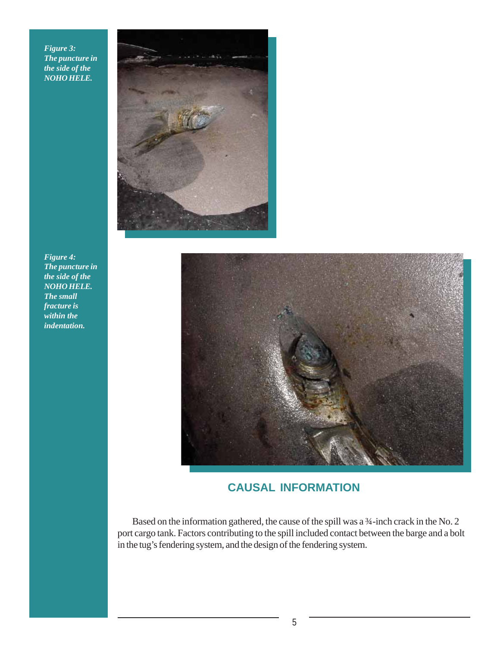*Figure 3: The puncture in the side of the NOHO HELE.*



*Figure 4: The puncture in the side of the NOHO HELE. The small fracture is within the indentation.*



# **CAUSAL INFORMATION**

Based on the information gathered, the cause of the spill was a ¾-inch crack in the No. 2 port cargo tank. Factors contributing to the spill included contact between the barge and a bolt in the tug's fendering system, and the design of the fendering system.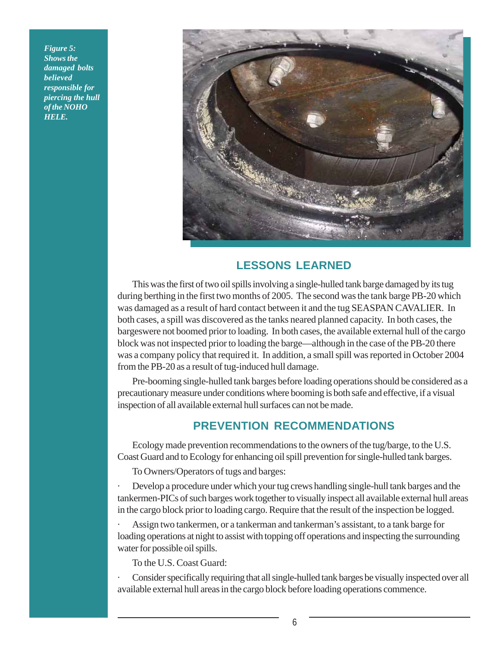*Figure 5: Shows the damaged bolts believed responsible for piercing the hull of the NOHO HELE.*



# **LESSONS LEARNED**

This was the first of two oil spills involving a single-hulled tank barge damaged by its tug during berthing in the first two months of 2005. The second was the tank barge PB-20 which was damaged as a result of hard contact between it and the tug SEASPAN CAVALIER. In both cases, a spill was discovered as the tanks neared planned capacity. In both cases, the bargeswere not boomed prior to loading. In both cases, the available external hull of the cargo block was not inspected prior to loading the barge—although in the case of the PB-20 there was a company policy that required it. In addition, a small spill was reported in October 2004 from the PB-20 as a result of tug-induced hull damage.

Pre-booming single-hulled tank barges before loading operations should be considered as a precautionary measure under conditions where booming is both safe and effective, if a visual inspection of all available external hull surfaces can not be made.

# **PREVENTION RECOMMENDATIONS**

Ecology made prevention recommendations to the owners of the tug/barge, to the U.S. Coast Guard and to Ecology for enhancing oil spill prevention for single-hulled tank barges.

To Owners/Operators of tugs and barges:

· Develop a procedure under which your tug crews handling single-hull tank barges and the tankermen-PICs of such barges work together to visually inspect all available external hull areas in the cargo block prior to loading cargo. Require that the result of the inspection be logged.

· Assign two tankermen, or a tankerman and tankerman's assistant, to a tank barge for loading operations at night to assist with topping off operations and inspecting the surrounding water for possible oil spills.

To the U.S. Coast Guard:

· Consider specifically requiring that all single-hulled tank barges be visually inspected over all available external hull areas in the cargo block before loading operations commence.